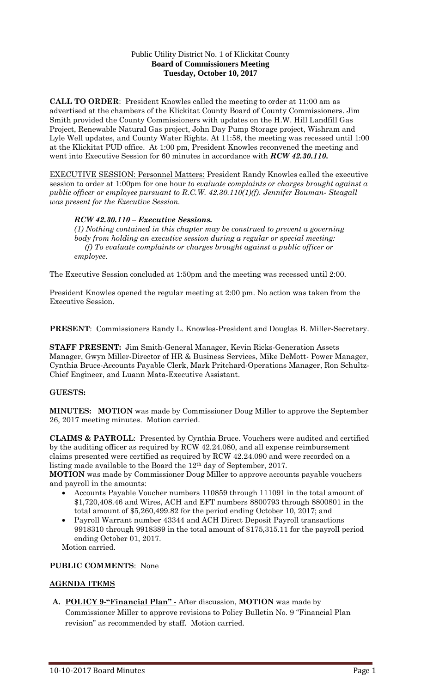### Public Utility District No. 1 of Klickitat County **Board of Commissioners Meeting Tuesday, October 10, 2017**

**CALL TO ORDER**: President Knowles called the meeting to order at 11:00 am as advertised at the chambers of the Klickitat County Board of County Commissioners. Jim Smith provided the County Commissioners with updates on the H.W. Hill Landfill Gas Project, Renewable Natural Gas project, John Day Pump Storage project, Wishram and Lyle Well updates, and County Water Rights. At 11:58, the meeting was recessed until 1:00 at the Klickitat PUD office. At 1:00 pm, President Knowles reconvened the meeting and went into Executive Session for 60 minutes in accordance with *RCW 42.30.110.*

EXECUTIVE SESSION: Personnel Matters: President Randy Knowles called the executive session to order at 1:00pm for one hour *to evaluate complaints or charges brought against a public officer or employee pursuant to R.C.W. 42.30.110(1)(f). Jennifer Bouman- Steagall was present for the Executive Session.*

### *RCW 42.30.110 – Executive Sessions.*

*(1) Nothing contained in this chapter may be construed to prevent a governing body from holding an executive session during a regular or special meeting: (f) To evaluate complaints or charges brought against a public officer or employee.* 

The Executive Session concluded at 1:50pm and the meeting was recessed until 2:00.

President Knowles opened the regular meeting at 2:00 pm. No action was taken from the Executive Session.

**PRESENT**: Commissioners Randy L. Knowles-President and Douglas B. Miller-Secretary.

**STAFF PRESENT:** Jim Smith-General Manager, Kevin Ricks-Generation Assets Manager, Gwyn Miller-Director of HR & Business Services, Mike DeMott- Power Manager, Cynthia Bruce-Accounts Payable Clerk, Mark Pritchard-Operations Manager, Ron Schultz-Chief Engineer, and Luann Mata-Executive Assistant.

# **GUESTS:**

**MINUTES: MOTION** was made by Commissioner Doug Miller to approve the September 26, 2017 meeting minutes. Motion carried.

**CLAIMS & PAYROLL**: Presented by Cynthia Bruce. Vouchers were audited and certified by the auditing officer as required by RCW 42.24.080, and all expense reimbursement claims presented were certified as required by RCW 42.24.090 and were recorded on a listing made available to the Board the 12th day of September, 2017.

**MOTION** was made by Commissioner Doug Miller to approve accounts payable vouchers and payroll in the amounts:

- Accounts Payable Voucher numbers 110859 through 111091 in the total amount of \$1,720,408.46 and Wires, ACH and EFT numbers 8800793 through 8800801 in the total amount of \$5,260,499.82 for the period ending October 10, 2017; and
- Payroll Warrant number 43344 and ACH Direct Deposit Payroll transactions 9918310 through 9918389 in the total amount of \$175,315.11 for the payroll period ending October 01, 2017.

Motion carried.

# **PUBLIC COMMENTS**: None

# **AGENDA ITEMS**

**A. POLICY 9-"Financial Plan" -** After discussion, **MOTION** was made by Commissioner Miller to approve revisions to Policy Bulletin No. 9 "Financial Plan revision" as recommended by staff. Motion carried.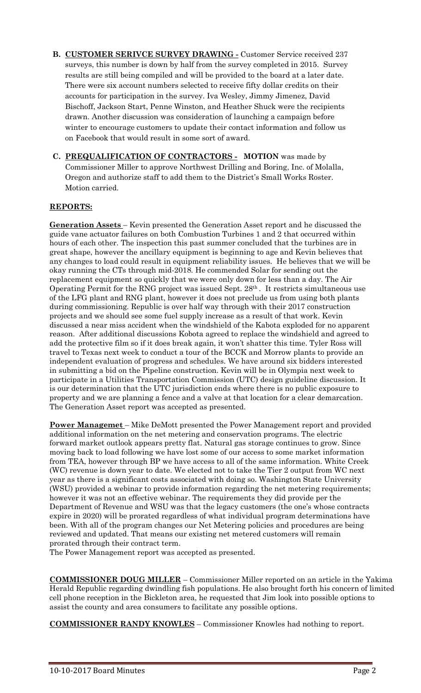- **B. CUSTOMER SERIVCE SURVEY DRAWING -** Customer Service received 237 surveys, this number is down by half from the survey completed in 2015. Survey results are still being compiled and will be provided to the board at a later date. There were six account numbers selected to receive fifty dollar credits on their accounts for participation in the survey. Iva Wesley, Jimmy Jimenez, David Bischoff, Jackson Start, Penne Winston, and Heather Shuck were the recipients drawn. Another discussion was consideration of launching a campaign before winter to encourage customers to update their contact information and follow us on Facebook that would result in some sort of award.
- **C. PREQUALIFICATION OF CONTRACTORS - MOTION** was made by Commissioner Miller to approve Northwest Drilling and Boring, Inc. of Molalla, Oregon and authorize staff to add them to the District's Small Works Roster. Motion carried.

# **REPORTS:**

**Generation Assets** – Kevin presented the Generation Asset report and he discussed the guide vane actuator failures on both Combustion Turbines 1 and 2 that occurred within hours of each other. The inspection this past summer concluded that the turbines are in great shape, however the ancillary equipment is beginning to age and Kevin believes that any changes to load could result in equipment reliability issues. He believes that we will be okay running the CTs through mid-2018. He commended Solar for sending out the replacement equipment so quickly that we were only down for less than a day. The Air Operating Permit for the RNG project was issued Sept. 28th . It restricts simultaneous use of the LFG plant and RNG plant, however it does not preclude us from using both plants during commissioning. Republic is over half way through with their 2017 construction projects and we should see some fuel supply increase as a result of that work. Kevin discussed a near miss accident when the windshield of the Kabota exploded for no apparent reason. After additional discussions Kobota agreed to replace the windshield and agreed to add the protective film so if it does break again, it won't shatter this time. Tyler Ross will travel to Texas next week to conduct a tour of the BCCK and Morrow plants to provide an independent evaluation of progress and schedules. We have around six bidders interested in submitting a bid on the Pipeline construction. Kevin will be in Olympia next week to participate in a Utilities Transportation Commission (UTC) design guideline discussion. It is our determination that the UTC jurisdiction ends where there is no public exposure to property and we are planning a fence and a valve at that location for a clear demarcation. The Generation Asset report was accepted as presented.

**Power Managemet** – Mike DeMott presented the Power Management report and provided additional information on the net metering and conservation programs. The electric forward market outlook appears pretty flat. Natural gas storage continues to grow. Since moving back to load following we have lost some of our access to some market information from TEA, however through BP we have access to all of the same information. White Creek (WC) revenue is down year to date. We elected not to take the Tier 2 output from WC next year as there is a significant costs associated with doing so. Washington State University (WSU) provided a webinar to provide information regarding the net metering requirements; however it was not an effective webinar. The requirements they did provide per the Department of Revenue and WSU was that the legacy customers (the one's whose contracts expire in 2020) will be prorated regardless of what individual program determinations have been. With all of the program changes our Net Metering policies and procedures are being reviewed and updated. That means our existing net metered customers will remain prorated through their contract term.

The Power Management report was accepted as presented.

**COMMISSIONER DOUG MILLER** – Commissioner Miller reported on an article in the Yakima Herald Republic regarding dwindling fish populations. He also brought forth his concern of limited cell phone reception in the Bickleton area, he requested that Jim look into possible options to assist the county and area consumers to facilitate any possible options.

**COMMISSIONER RANDY KNOWLES** – Commissioner Knowles had nothing to report.